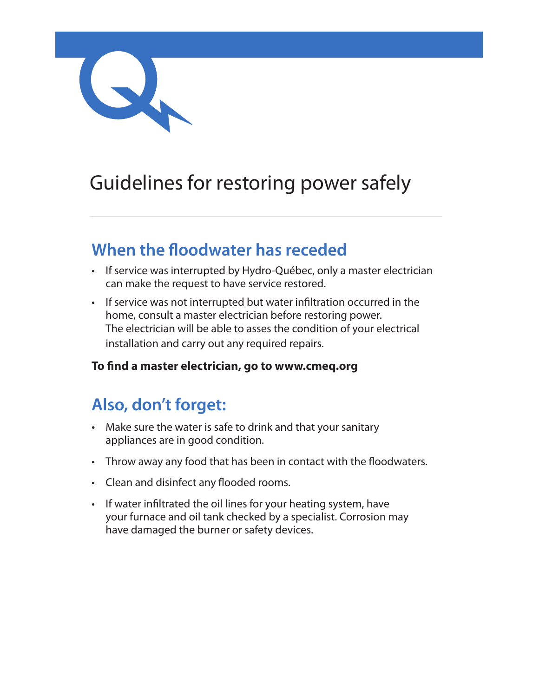

# Guidelines for restoring power safely

### **When the floodwater has receded**

- If service was interrupted by Hydro-Québec, only a master electrician can make the request to have service restored.
- If service was not interrupted but water infiltration occurred in the home, consult a master electrician before restoring power. The electrician will be able to asses the condition of your electrical installation and carry out any required repairs.

#### **To find a master electrician, go to www.cmeq.org**

## **Also, don't forget:**

- Make sure the water is safe to drink and that your sanitary appliances are in good condition.
- Throw away any food that has been in contact with the floodwaters.
- Clean and disinfect any flooded rooms.
- If water infiltrated the oil lines for your heating system, have your furnace and oil tank checked by a specialist. Corrosion may have damaged the burner or safety devices.